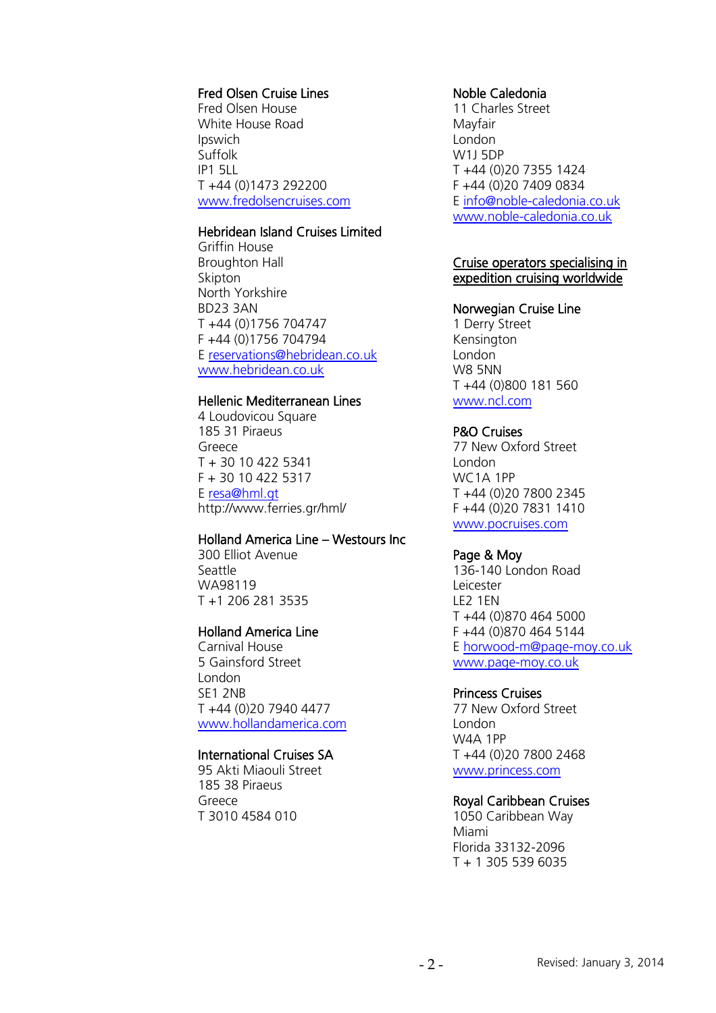# Fred Olsen Cruise Lines

Fred Olsen House White House Road Ipswich Suffolk IP1 5LL T +44 (0)1473 292200 [www.fredolsencruises.com](http://www.fredolsencruises.com/)

## Hebridean Island Cruises Limited

Griffin House Broughton Hall Skipton North Yorkshire BD23 3AN T +44 (0)1756 704747 F +44 (0)1756 704794 E [reservations@hebridean.co.uk](mailto:reservations@hebridean.co.uk) [www.hebridean.co.uk](http://www.hebridean.co.uk/)

## Hellenic Mediterranean Lines

4 Loudovicou Square 185 31 Piraeus Greece T + 30 10 422 5341 F + 30 10 422 5317 E [resa@hml.gt](mailto:resa@hml.gt) http://www.ferries.gr/hml/

## Holland America Line – Westours Inc

300 Elliot Avenue Seattle WA98119 T +1 206 281 3535

## Holland America Line

Carnival House 5 Gainsford Street London SE1 2NB T +44 (0)20 7940 4477 [www.hollandamerica.com](http://www.hollandamerica.com/)

## International Cruises SA

95 Akti Miaouli Street 185 38 Piraeus Greece T 3010 4584 010

## Noble Caledonia

11 Charles Street Mayfair London W1J 5DP T +44 (0)20 7355 1424 F +44 (0)20 7409 0834 E [info@noble-caledonia.co.uk](mailto:info@noble-caledonia.co.uk) [www.noble-caledonia.co.uk](http://www.noble-caledonia.co.uk/)

#### Cruise operators specialising in expedition cruising worldwide

#### Norwegian Cruise Line

1 Derry Street Kensington London W8 5NN T +44 (0)800 181 560 [www.ncl.com](http://www.ncl.com/)

## P&O Cruises

77 New Oxford Street London WC1A 1PP T +44 (0)20 7800 2345 F +44 (0)20 7831 1410 [www.pocruises.com](http://www.pocruises.com/)

#### Page & Moy

136-140 London Road Leicester LE2 1EN T +44 (0)870 464 5000 F +44 (0)870 464 5144 E [horwood-m@page-moy.co.uk](mailto:horwood-m@page-moy.co.uk) [www.page-moy.co.uk](http://www.page-moy.co.uk/)

#### Princess Cruises

77 New Oxford Street London W4A 1PP T +44 (0)20 7800 2468 [www.princess.com](http://www.princess.com/)

#### Royal Caribbean Cruises

1050 Caribbean Way Miami Florida 33132-2096 T + 1 305 539 6035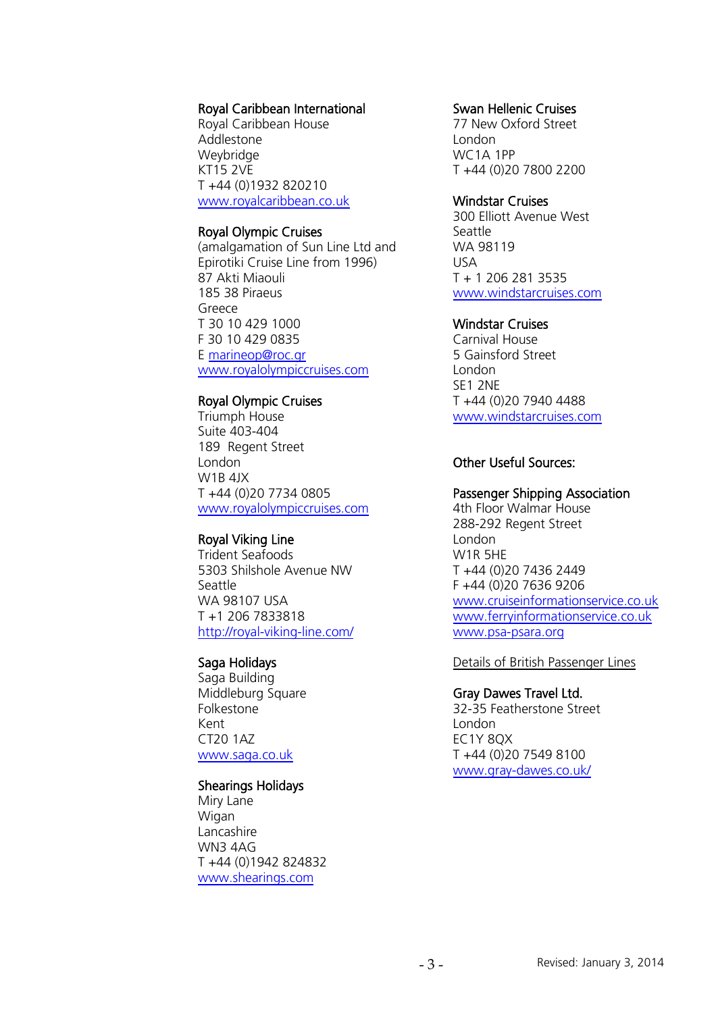**Infosheet**  $\overline{\textbf{0}}$ yd's Register Foundat<br>ormation Centre<br>Fenchurch Street<br>Fenchurch Street<br>1don<br>Ited Kingdom<br>-44 (0)20 7423 247:<br>144 (0)20 7423 203:<br>1stinfo@Ir.org SO E

**Lloyd's Register Foundation Information Centre** 71 Fenchurch Street **Lloyd's Register**  7 Thendriarch Street<br>London Eondon<br>EC3M 4BS LCJM 4DJ<br>United Kingdom Ninguoni

T: +44 (0)20 7423 2475 F: +44 (0)20 7423 2039 Fax: +44 (0)20 7423 2039 E: histinfo@lr.org Email: histinfo@lr.org www.lrfoundation.org.uk



## Royal Caribbean International

Royal Caribbean House Addlestone **Weybridge** KT15 2VE T +44 (0)1932 820210 [www.royalcaribbean.co.uk](http://www.royalcaribbean.co.uk/)

#### Royal Olympic Cruises

(amalgamation of Sun Line Ltd and Epirotiki Cruise Line from 1996) 87 Akti Miaouli 185 38 Piraeus Greece T 30 10 429 1000 F 30 10 429 0835 E [marineop@roc.gr](mailto:marineop@roc.gr) [www.royalolympiccruises.com](http://www.royalolympiccruises.com/)

## Royal Olympic Cruises

Triumph House Suite 403-404 189 Regent Street London W1B 4JX T +44 (0)20 7734 0805 [www.royalolympiccruises.com](http://www.royalolympiccruises.com/)

## Royal Viking Line

Trident Seafoods 5303 Shilshole Avenue NW Seattle WA 98107 USA T +1 206 7833818 <http://royal-viking-line.com/>

# Saga Holidays

Saga Building Middleburg Square Folkestone Kent CT20 1AZ [www.saga.co.uk](http://www.saga.co.uk/)

## Shearings Holidays

Miry Lane Wigan Lancashire WN3 4AG T +44 (0)1942 824832 [www.shearings.com](http://www.shearings.com/)

#### Swan Hellenic Cruises

77 New Oxford Street London WC1A 1PP T +44 (0)20 7800 2200

#### Windstar Cruises

300 Elliott Avenue West Seattle WA 98119 USA T + 1 206 281 3535 [www.windstarcruises.com](http://www.windstarcruises.com/)

## Windstar Cruises

Carnival House 5 Gainsford Street London SE1 2NE T +44 (0)20 7940 4488 [www.windstarcruises.com](http://www.windstarcruises.com/)

# Other Useful Sources:

# Passenger Shipping Association

4th Floor Walmar House 288-292 Regent Street London W1R 5HE T +44 (0)20 7436 2449 F +44 (0)20 7636 9206 [www.cruiseinformationservice.co.uk](http://www.cruiseinformationservice.co.uk/) [www.ferryinformationservice.co.uk](http://www.ferryinformationservice.co.uk/) [www.psa-psara.org](http://www.psa-psara.org/)

Details of British Passenger Lines

#### Gray Dawes Travel Ltd.

32-35 Featherstone Street London EC1Y 8QX T +44 (0)20 7549 8100 [www.gray-dawes.co.uk/](http://www.gray-dawes.co.uk/)